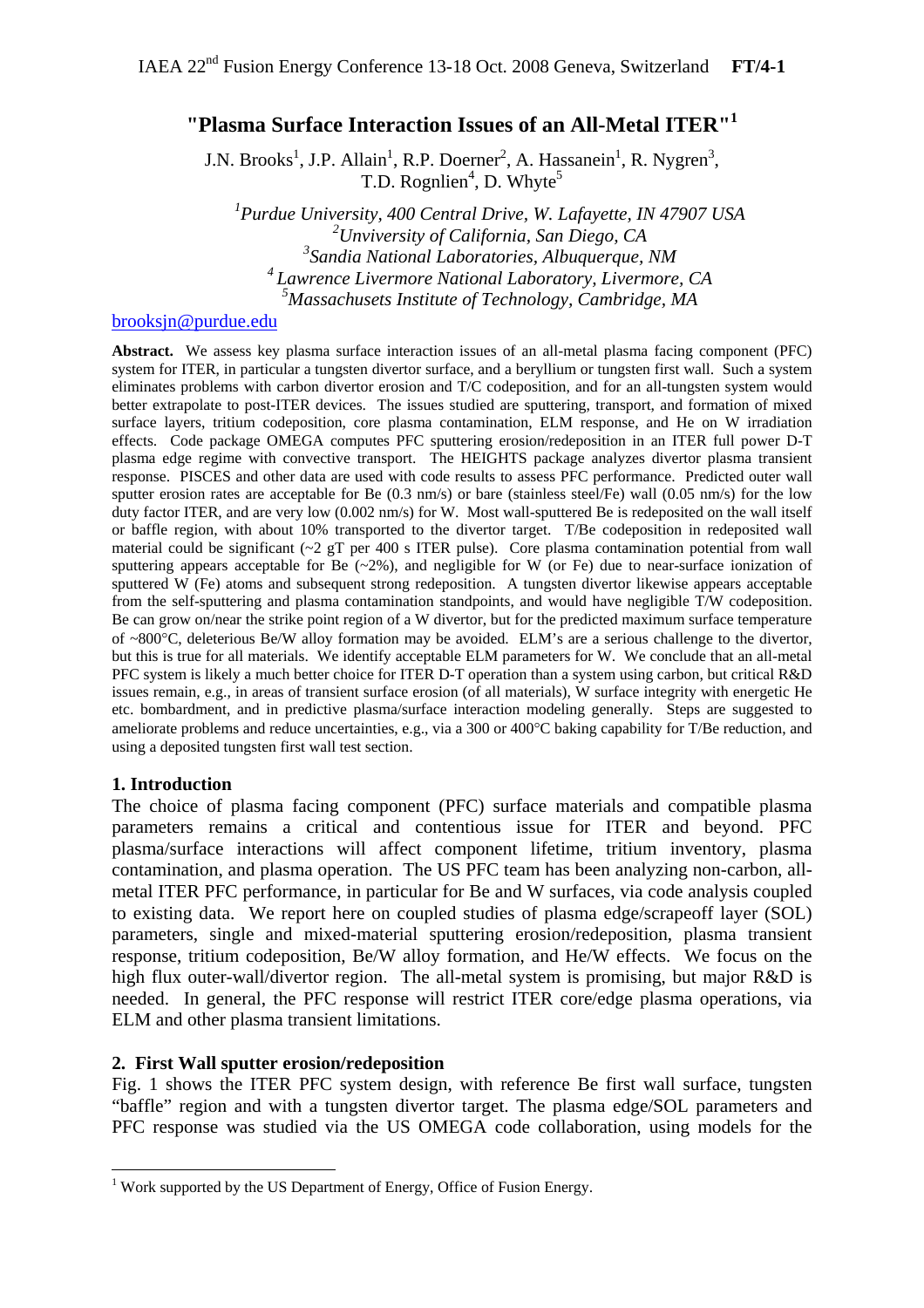# **"Plasma Surface Interaction Issues of an All-Metal ITER"[1](#page-0-0)**

J.N. Brooks<sup>1</sup>, J.P. Allain<sup>1</sup>, R.P. Doerner<sup>2</sup>, A. Hassanein<sup>1</sup>, R. Nygren<sup>3</sup>, T.D. Rognlien<sup>4</sup>, D. Whyte<sup>5</sup>

 *Purdue University, 400 Central Drive, W. Lafayette, IN 47907 USA Unviversity of California, San Diego, CA Sandia National Laboratories, Albuquerque, NM 4 Lawrence Livermore National Laboratory, Livermore, CA Massachusets Institute of Technology, Cambridge, MA*

### [brooksjn@purdue.edu](mailto:brooksjn@purdue.edu)

**Abstract.** We assess key plasma surface interaction issues of an all-metal plasma facing component (PFC) system for ITER, in particular a tungsten divertor surface, and a beryllium or tungsten first wall. Such a system eliminates problems with carbon divertor erosion and T/C codeposition, and for an all-tungsten system would better extrapolate to post-ITER devices. The issues studied are sputtering, transport, and formation of mixed surface layers, tritium codeposition, core plasma contamination, ELM response, and He on W irradiation effects. Code package OMEGA computes PFC sputtering erosion/redeposition in an ITER full power D-T plasma edge regime with convective transport. The HEIGHTS package analyzes divertor plasma transient response. PISCES and other data are used with code results to assess PFC performance. Predicted outer wall sputter erosion rates are acceptable for Be (0.3 nm/s) or bare (stainless steel/Fe) wall (0.05 nm/s) for the low duty factor ITER, and are very low (0.002 nm/s) for W. Most wall-sputtered Be is redeposited on the wall itself or baffle region, with about 10% transported to the divertor target. T/Be codeposition in redeposited wall material could be significant  $\sim$  2 gT per 400 s ITER pulse). Core plasma contamination potential from wall sputtering appears acceptable for Be  $(\sim 2\%)$ , and negligible for W (or Fe) due to near-surface ionization of sputtered W (Fe) atoms and subsequent strong redeposition. A tungsten divertor likewise appears acceptable from the self-sputtering and plasma contamination standpoints, and would have negligible T/W codeposition. Be can grow on/near the strike point region of a W divertor, but for the predicted maximum surface temperature of ~800°C, deleterious Be/W alloy formation may be avoided. ELM's are a serious challenge to the divertor, but this is true for all materials. We identify acceptable ELM parameters for W. We conclude that an all-metal PFC system is likely a much better choice for ITER D-T operation than a system using carbon, but critical R&D issues remain, e.g., in areas of transient surface erosion (of all materials), W surface integrity with energetic He etc. bombardment, and in predictive plasma/surface interaction modeling generally. Steps are suggested to ameliorate problems and reduce uncertainties, e.g., via a 300 or 400°C baking capability for T/Be reduction, and using a deposited tungsten first wall test section.

#### **1. Introduction**

The choice of plasma facing component (PFC) surface materials and compatible plasma parameters remains a critical and contentious issue for ITER and beyond. PFC plasma/surface interactions will affect component lifetime, tritium inventory, plasma contamination, and plasma operation. The US PFC team has been analyzing non-carbon, allmetal ITER PFC performance, in particular for Be and W surfaces, via code analysis coupled to existing data. We report here on coupled studies of plasma edge/scrapeoff layer (SOL) parameters, single and mixed-material sputtering erosion/redeposition, plasma transient response, tritium codeposition, Be/W alloy formation, and He/W effects. We focus on the high flux outer-wall/divertor region. The all-metal system is promising, but major R&D is needed. In general, the PFC response will restrict ITER core/edge plasma operations, via ELM and other plasma transient limitations.

# **2. First Wall sputter erosion/redeposition**

Fig. 1 shows the ITER PFC system design, with reference Be first wall surface, tungsten "baffle" region and with a tungsten divertor target. The plasma edge/SOL parameters and PFC response was studied via the US OMEGA code collaboration, using models for the

<span id="page-0-0"></span> 1 Work supported by the US Department of Energy, Office of Fusion Energy.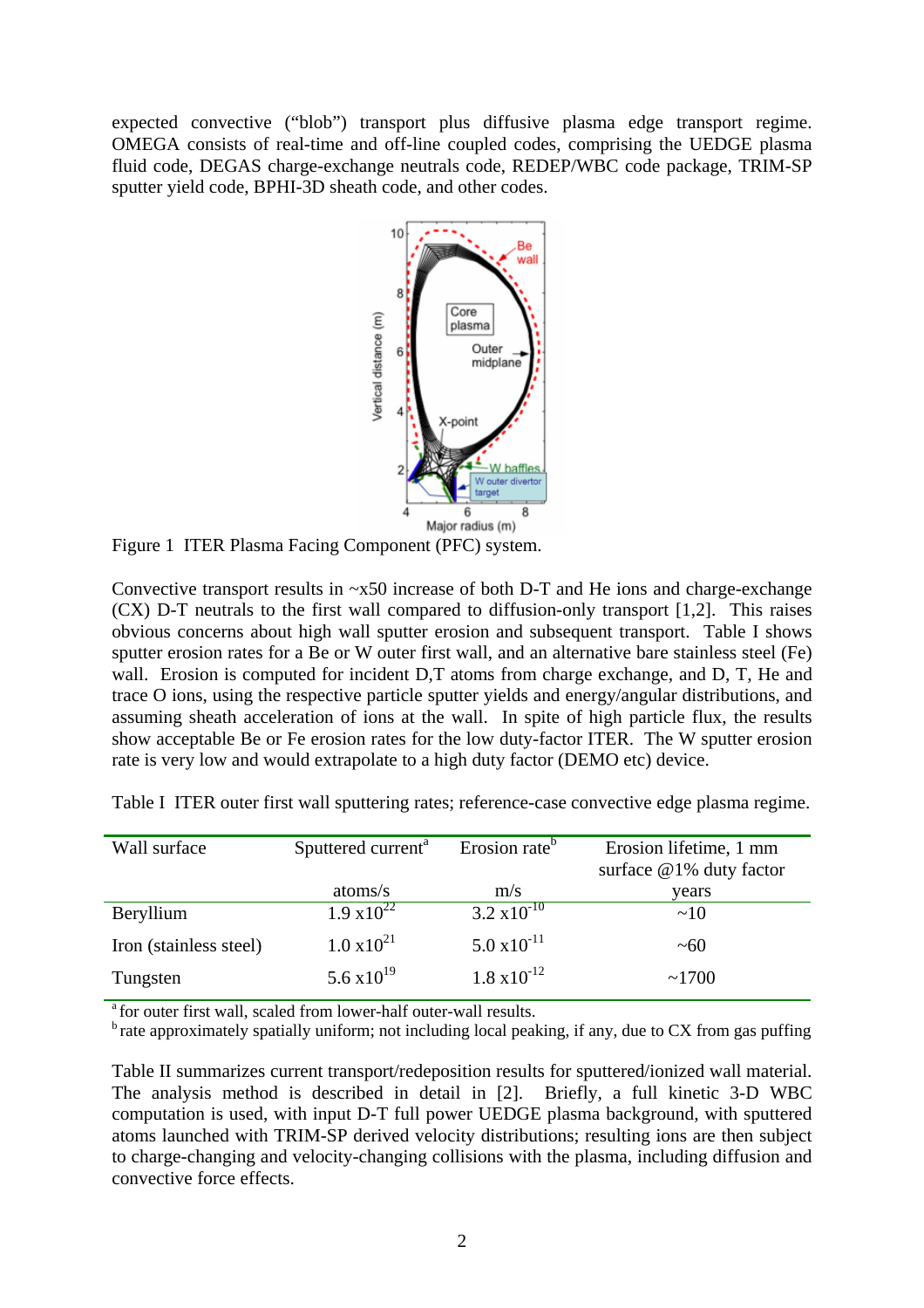expected convective ("blob") transport plus diffusive plasma edge transport regime. OMEGA consists of real-time and off-line coupled codes, comprising the UEDGE plasma fluid code, DEGAS charge-exchange neutrals code, REDEP/WBC code package, TRIM-SP sputter yield code, BPHI-3D sheath code, and other codes.



Figure 1 ITER Plasma Facing Component (PFC) system.

Convective transport results in ~x50 increase of both D-T and He ions and charge-exchange (CX) D-T neutrals to the first wall compared to diffusion-only transport [1,2]. This raises obvious concerns about high wall sputter erosion and subsequent transport. Table I shows sputter erosion rates for a Be or W outer first wall, and an alternative bare stainless steel (Fe) wall. Erosion is computed for incident D,T atoms from charge exchange, and D, T, He and trace O ions, using the respective particle sputter yields and energy/angular distributions, and assuming sheath acceleration of ions at the wall. In spite of high particle flux, the results show acceptable Be or Fe erosion rates for the low duty-factor ITER. The W sputter erosion rate is very low and would extrapolate to a high duty factor (DEMO etc) device.

| Wall surface           | Sputtered current <sup>a</sup> | Erosion rate <sup>b</sup> | Erosion lifetime, 1 mm<br>surface @1% duty factor |
|------------------------|--------------------------------|---------------------------|---------------------------------------------------|
|                        | atoms/s                        | m/s                       | years                                             |
| Beryllium              | $1.9 \times 10^{22}$           | $3.2 \times 10^{-10}$     | ~10                                               |
| Iron (stainless steel) | $1.0 \times 10^{21}$           | $5.0 \times 10^{-11}$     | $~1$ $~60$                                        |
| Tungsten               | 5.6 $\times 10^{19}$           | $1.8 \times 10^{-12}$     | ~1700                                             |

Table I ITER outer first wall sputtering rates; reference-case convective edge plasma regime.

<sup>a</sup> for outer first wall, scaled from lower-half outer-wall results.

 $<sup>b</sup>$  rate approximately spatially uniform; not including local peaking, if any, due to CX from gas puffing</sup>

Table II summarizes current transport/redeposition results for sputtered/ionized wall material. The analysis method is described in detail in [2]. Briefly, a full kinetic 3-D WBC computation is used, with input D-T full power UEDGE plasma background, with sputtered atoms launched with TRIM-SP derived velocity distributions; resulting ions are then subject to charge-changing and velocity-changing collisions with the plasma, including diffusion and convective force effects.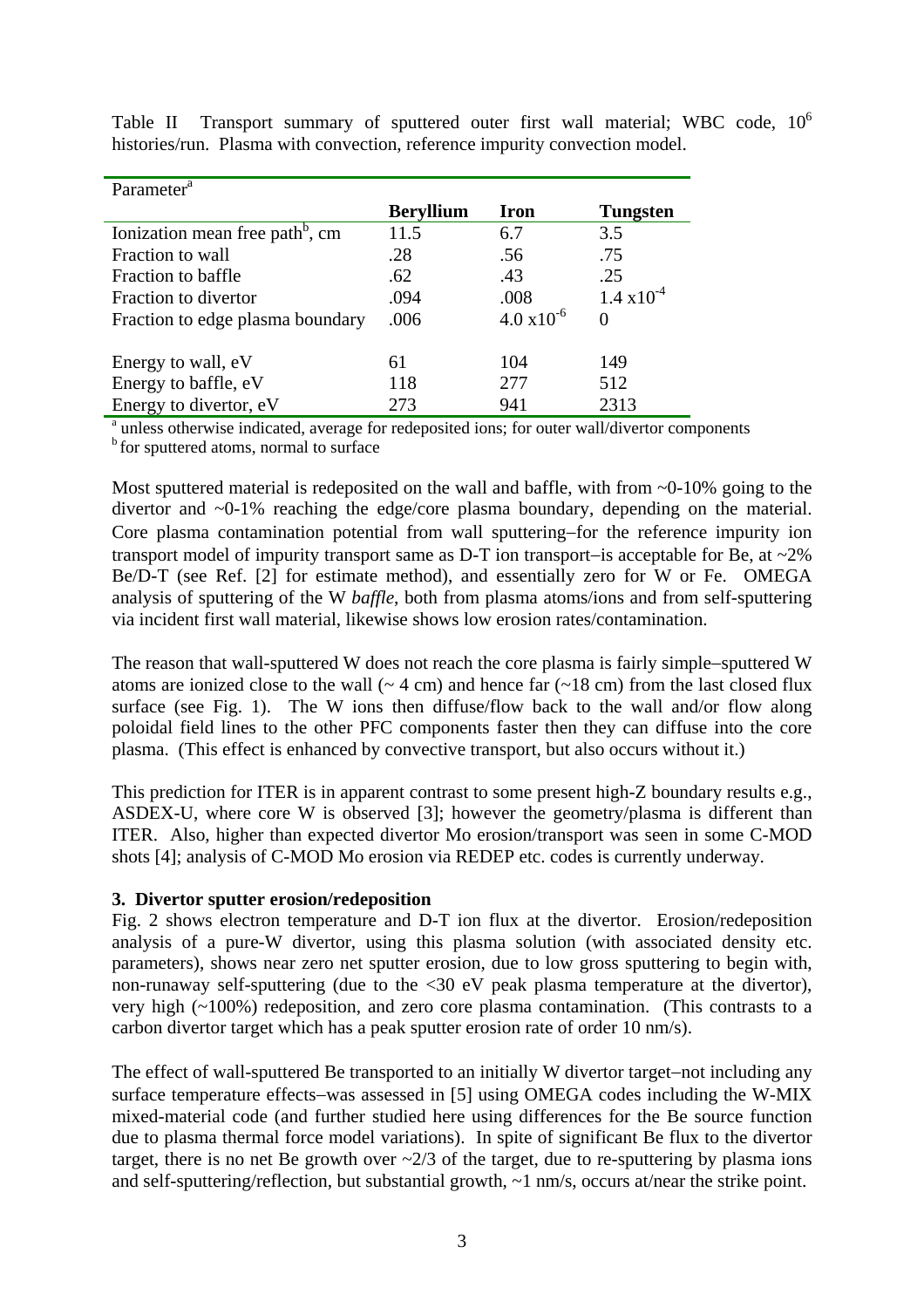| Parameter <sup>a</sup>                                                                                    |                  |                      |                      |
|-----------------------------------------------------------------------------------------------------------|------------------|----------------------|----------------------|
|                                                                                                           | <b>Beryllium</b> | Iron                 | <b>Tungsten</b>      |
| Ionization mean free path <sup>b</sup> , cm                                                               | 11.5             | 6.7                  | 3.5                  |
| Fraction to wall                                                                                          | .28              | .56                  | .75                  |
| Fraction to baffle                                                                                        | .62              | .43                  | .25                  |
| Fraction to divertor                                                                                      | .094             | .008                 | $1.4 \times 10^{-4}$ |
| Fraction to edge plasma boundary                                                                          | .006             | $4.0 \times 10^{-6}$ | 0                    |
| Energy to wall, eV                                                                                        | 61               | 104                  | 149                  |
| Energy to baffle, eV                                                                                      | 118              | 277                  | 512                  |
| Energy to divertor, eV                                                                                    | 273              | 941                  | 2313                 |
| <sup>a</sup> unless otherwise indicated, average for redeposited ions; for outer wall/divertor components |                  |                      |                      |

Table II Transport summary of sputtered outer first wall material; WBC code,  $10^6$ histories/run. Plasma with convection, reference impurity convection model.

b for sputtered atoms, normal to surface

Most sputtered material is redeposited on the wall and baffle, with from ~0-10% going to the divertor and ~0-1% reaching the edge/core plasma boundary, depending on the material. Core plasma contamination potential from wall sputtering−for the reference impurity ion transport model of impurity transport same as D-T ion transport−is acceptable for Be, at ~2% Be/D-T (see Ref. [2] for estimate method), and essentially zero for W or Fe. OMEGA analysis of sputtering of the W *baffle*, both from plasma atoms/ions and from self-sputtering via incident first wall material, likewise shows low erosion rates/contamination.

The reason that wall-sputtered W does not reach the core plasma is fairly simple−sputtered W atoms are ionized close to the wall  $($   $\sim$  4 cm) and hence far  $($   $\sim$  18 cm) from the last closed flux surface (see Fig. 1). The W ions then diffuse/flow back to the wall and/or flow along poloidal field lines to the other PFC components faster then they can diffuse into the core plasma. (This effect is enhanced by convective transport, but also occurs without it.)

This prediction for ITER is in apparent contrast to some present high-Z boundary results e.g., ASDEX-U, where core W is observed [3]; however the geometry/plasma is different than ITER. Also, higher than expected divertor Mo erosion/transport was seen in some C-MOD shots [4]; analysis of C-MOD Mo erosion via REDEP etc. codes is currently underway.

#### **3. Divertor sputter erosion/redeposition**

Fig. 2 shows electron temperature and D-T ion flux at the divertor. Erosion/redeposition analysis of a pure-W divertor, using this plasma solution (with associated density etc. parameters), shows near zero net sputter erosion, due to low gross sputtering to begin with, non-runaway self-sputtering (due to the <30 eV peak plasma temperature at the divertor), very high (~100%) redeposition, and zero core plasma contamination. (This contrasts to a carbon divertor target which has a peak sputter erosion rate of order 10 nm/s).

The effect of wall-sputtered Be transported to an initially W divertor target−not including any surface temperature effects−was assessed in [5] using OMEGA codes including the W-MIX mixed-material code (and further studied here using differences for the Be source function due to plasma thermal force model variations). In spite of significant Be flux to the divertor target, there is no net Be growth over  $\sim 2/3$  of the target, due to re-sputtering by plasma ions and self-sputtering/reflection, but substantial growth, ~1 nm/s, occurs at/near the strike point.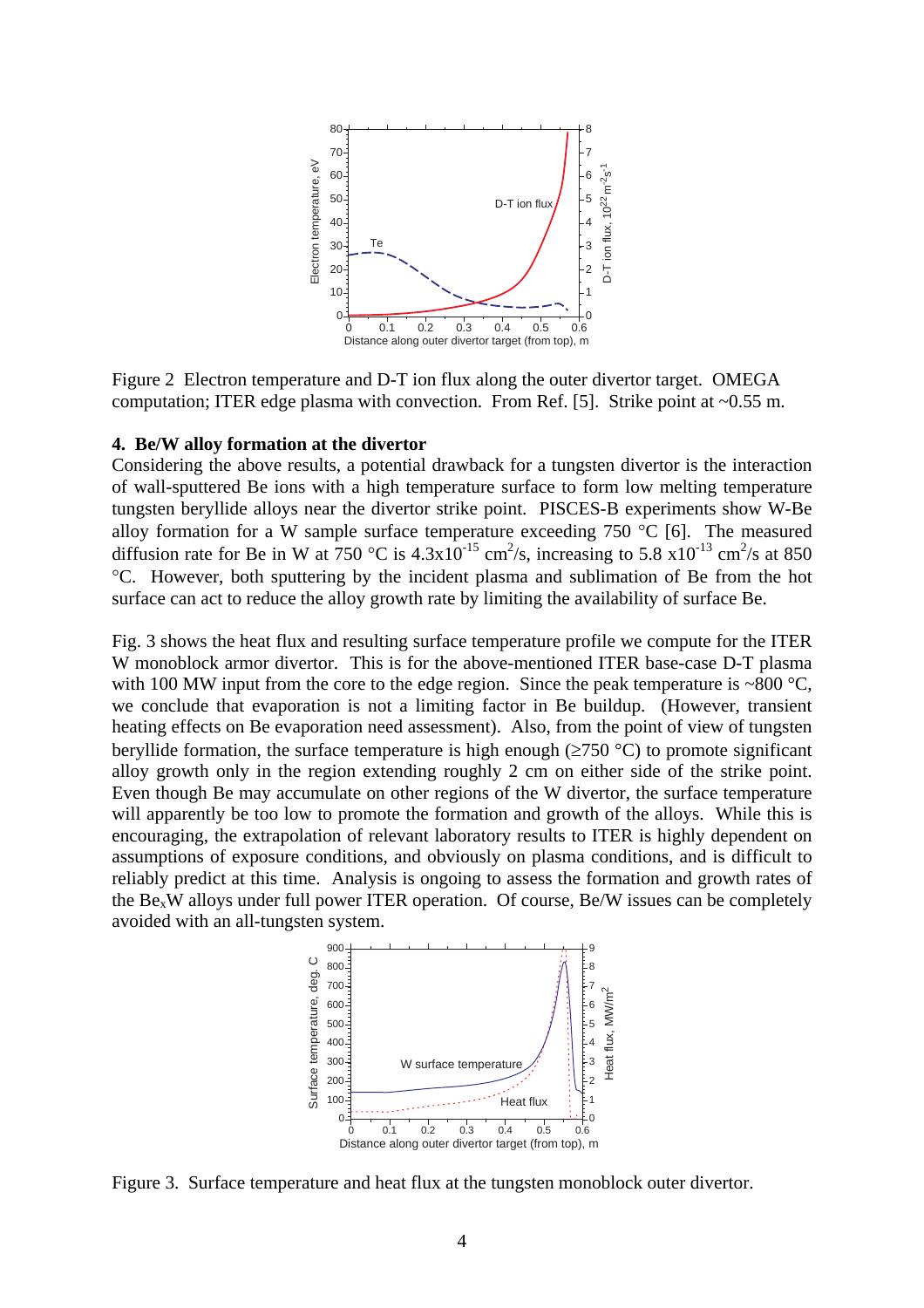

Figure 2 Electron temperature and D-T ion flux along the outer divertor target. OMEGA computation; ITER edge plasma with convection. From Ref. [5]. Strike point at ~0.55 m.

#### **4. Be/W alloy formation at the divertor**

Considering the above results, a potential drawback for a tungsten divertor is the interaction of wall-sputtered Be ions with a high temperature surface to form low melting temperature tungsten beryllide alloys near the divertor strike point. PISCES-B experiments show W-Be alloy formation for a W sample surface temperature exceeding  $750 \text{ °C}$  [6]. The measured diffusion rate for Be in W at 750 °C is  $4.3x10^{-15}$  cm<sup>2</sup>/s, increasing to 5.8  $x10^{-13}$  cm<sup>2</sup>/s at 850 °C. However, both sputtering by the incident plasma and sublimation of Be from the hot surface can act to reduce the alloy growth rate by limiting the availability of surface Be.

Fig. 3 shows the heat flux and resulting surface temperature profile we compute for the ITER W monoblock armor divertor. This is for the above-mentioned ITER base-case D-T plasma with 100 MW input from the core to the edge region. Since the peak temperature is  $\sim 800 \degree C$ , we conclude that evaporation is not a limiting factor in Be buildup. (However, transient heating effects on Be evaporation need assessment). Also, from the point of view of tungsten beryllide formation, the surface temperature is high enough ( $\geq 750$  °C) to promote significant alloy growth only in the region extending roughly 2 cm on either side of the strike point. Even though Be may accumulate on other regions of the W divertor, the surface temperature will apparently be too low to promote the formation and growth of the alloys. While this is encouraging, the extrapolation of relevant laboratory results to ITER is highly dependent on assumptions of exposure conditions, and obviously on plasma conditions, and is difficult to reliably predict at this time. Analysis is ongoing to assess the formation and growth rates of the  $Be_xW$  alloys under full power ITER operation. Of course, Be/W issues can be completely avoided with an all-tungsten system.



Figure 3. Surface temperature and heat flux at the tungsten monoblock outer divertor.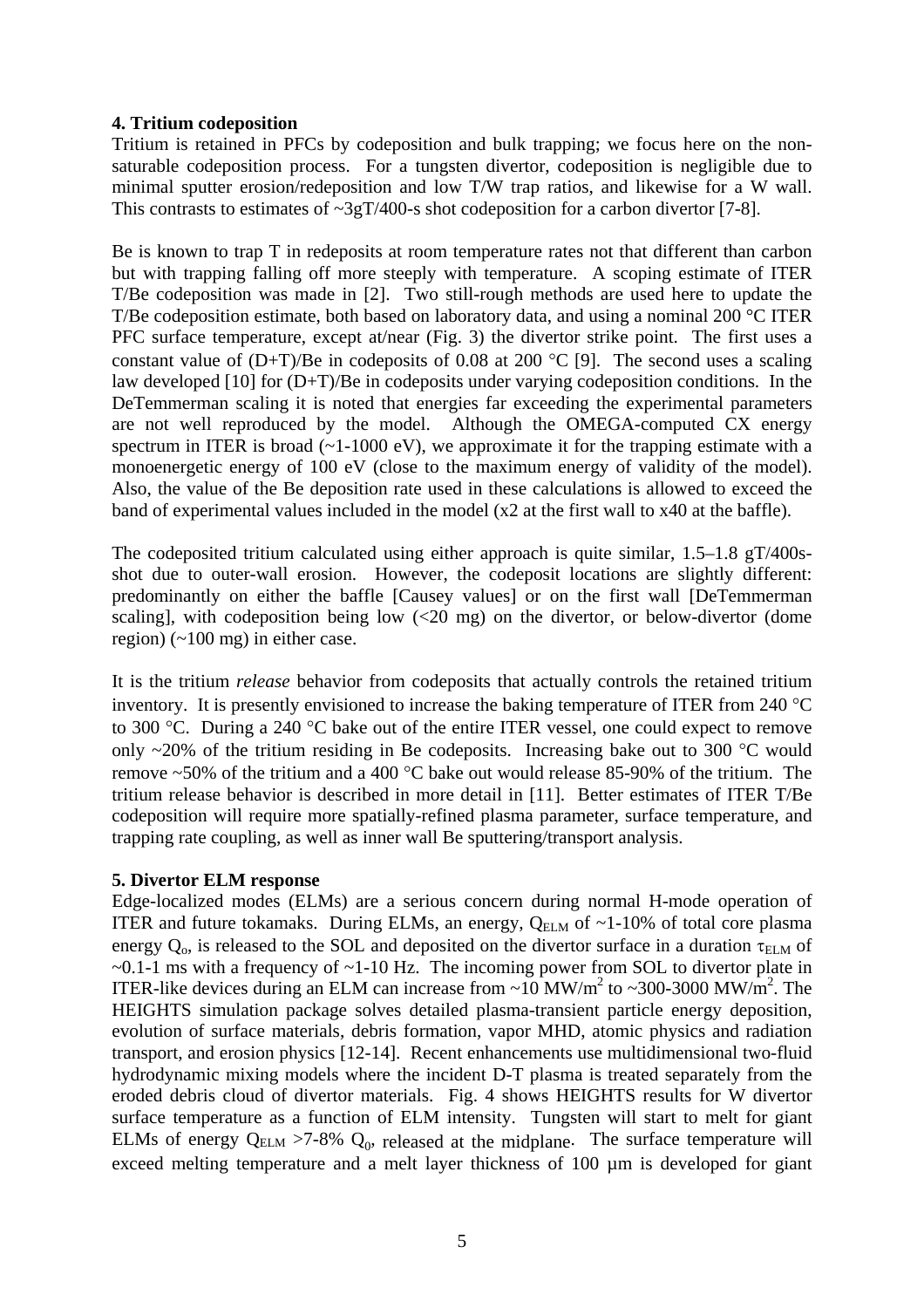### **4. Tritium codeposition**

Tritium is retained in PFCs by codeposition and bulk trapping; we focus here on the nonsaturable codeposition process. For a tungsten divertor, codeposition is negligible due to minimal sputter erosion/redeposition and low T/W trap ratios, and likewise for a W wall. This contrasts to estimates of  $\sim 3gT/400$ -s shot codeposition for a carbon divertor [7-8].

Be is known to trap T in redeposits at room temperature rates not that different than carbon but with trapping falling off more steeply with temperature. A scoping estimate of ITER T/Be codeposition was made in [2]. Two still-rough methods are used here to update the T/Be codeposition estimate, both based on laboratory data, and using a nominal 200 °C ITER PFC surface temperature, except at/near (Fig. 3) the divertor strike point. The first uses a constant value of  $(D+T)/Be$  in codeposits of 0.08 at 200 °C [9]. The second uses a scaling law developed [10] for (D+T)/Be in codeposits under varying codeposition conditions. In the DeTemmerman scaling it is noted that energies far exceeding the experimental parameters are not well reproduced by the model. Although the OMEGA-computed CX energy spectrum in ITER is broad  $(-1-1000 \text{ eV})$ , we approximate it for the trapping estimate with a monoenergetic energy of 100 eV (close to the maximum energy of validity of the model). Also, the value of the Be deposition rate used in these calculations is allowed to exceed the band of experimental values included in the model (x2 at the first wall to x40 at the baffle).

The codeposited tritium calculated using either approach is quite similar, 1.5–1.8 gT/400sshot due to outer-wall erosion. However, the codeposit locations are slightly different: predominantly on either the baffle [Causey values] or on the first wall [DeTemmerman scaling], with codeposition being low  $\langle 20 \text{ mg} \rangle$  on the divertor, or below-divertor (dome region) (~100 mg) in either case.

It is the tritium *release* behavior from codeposits that actually controls the retained tritium inventory. It is presently envisioned to increase the baking temperature of ITER from 240 °C to 300 °C. During a 240 °C bake out of the entire ITER vessel, one could expect to remove only  $\sim$ 20% of the tritium residing in Be codeposits. Increasing bake out to 300 °C would remove ~50% of the tritium and a 400 °C bake out would release 85-90% of the tritium. The tritium release behavior is described in more detail in [11]. Better estimates of ITER T/Be codeposition will require more spatially-refined plasma parameter, surface temperature, and trapping rate coupling, as well as inner wall Be sputtering/transport analysis.

#### **5. Divertor ELM response**

Edge-localized modes (ELMs) are a serious concern during normal H-mode operation of ITER and future tokamaks. During ELMs, an energy,  $Q_{\text{ELM}}$  of  $\sim$ 1-10% of total core plasma energy  $Q_0$ , is released to the SOL and deposited on the divertor surface in a duration  $\tau_{\text{ELM}}$  of  $\sim$ 0.1-1 ms with a frequency of  $\sim$ 1-10 Hz. The incoming power from SOL to divertor plate in ITER-like devices during an ELM can increase from  $\sim 10 \text{ MW/m}^2$  to  $\sim 300\text{-}3000 \text{ MW/m}^2$ . The HEIGHTS simulation package solves detailed plasma-transient particle energy deposition, evolution of surface materials, debris formation, vapor MHD, atomic physics and radiation transport, and erosion physics [12-14]. Recent enhancements use multidimensional two-fluid hydrodynamic mixing models where the incident D-T plasma is treated separately from the eroded debris cloud of divertor materials. Fig. 4 shows HEIGHTS results for W divertor surface temperature as a function of ELM intensity. Tungsten will start to melt for giant ELMs of energy  $Q_{ELM} > 7-8\%$   $Q_0$ , released at the midplane. The surface temperature will exceed melting temperature and a melt layer thickness of 100  $\mu$ m is developed for giant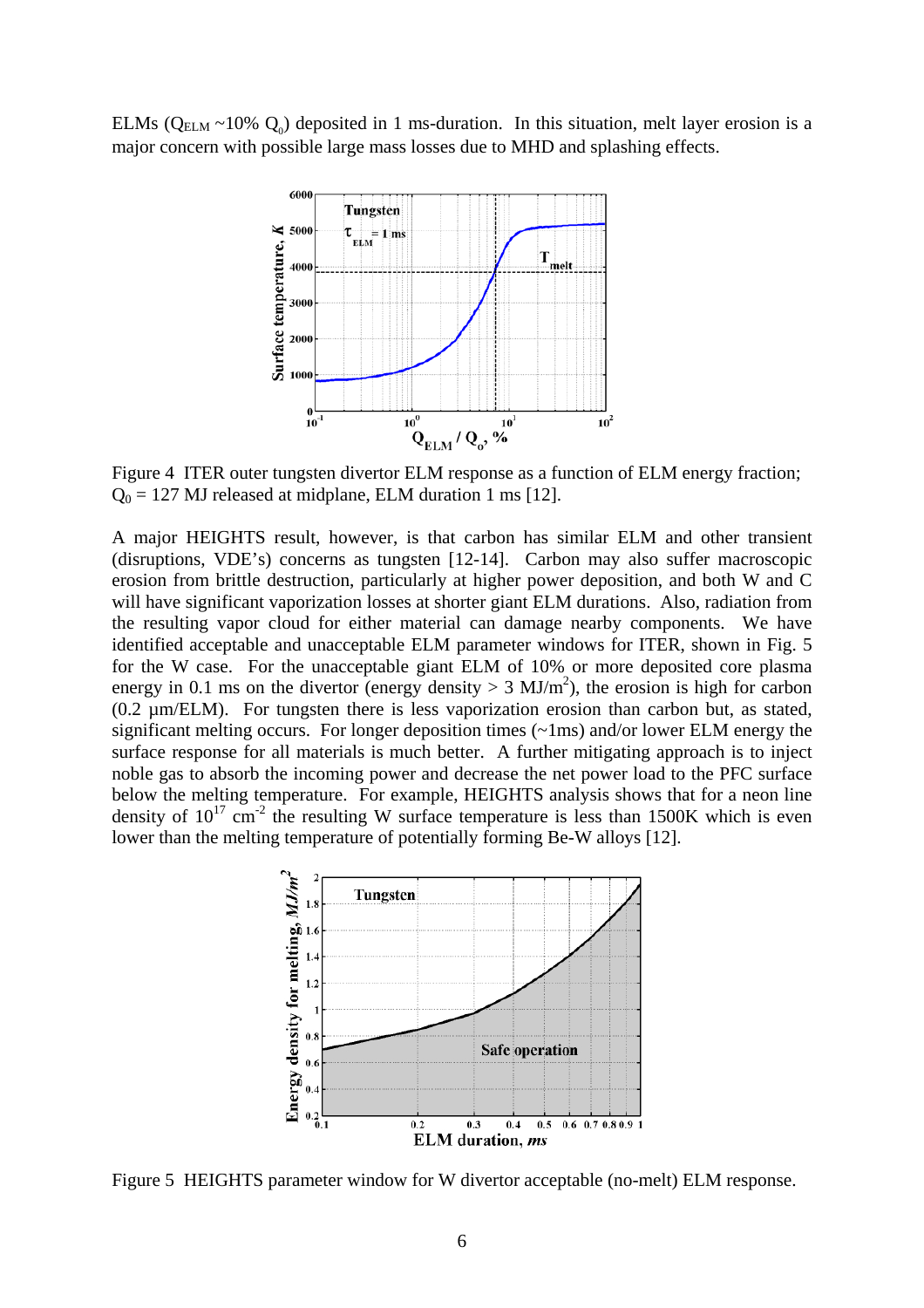ELMs ( $Q_{\text{ELM}} \sim 10\%$   $Q_0$ ) deposited in 1 ms-duration. In this situation, melt layer erosion is a major concern with possible large mass losses due to MHD and splashing effects.



Figure 4 ITER outer tungsten divertor ELM response as a function of ELM energy fraction;  $Q_0 = 127$  MJ released at midplane, ELM duration 1 ms [12].

A major HEIGHTS result, however, is that carbon has similar ELM and other transient (disruptions, VDE's) concerns as tungsten [12-14]. Carbon may also suffer macroscopic erosion from brittle destruction, particularly at higher power deposition, and both W and C will have significant vaporization losses at shorter giant ELM durations. Also, radiation from the resulting vapor cloud for either material can damage nearby components. We have identified acceptable and unacceptable ELM parameter windows for ITER, shown in Fig. 5 for the W case. For the unacceptable giant ELM of 10% or more deposited core plasma energy in 0.1 ms on the divertor (energy density  $> 3 \text{ MJ/m}^2$ ), the erosion is high for carbon (0.2 µm/ELM). For tungsten there is less vaporization erosion than carbon but, as stated, significant melting occurs. For longer deposition times (~1ms) and/or lower ELM energy the surface response for all materials is much better. A further mitigating approach is to inject noble gas to absorb the incoming power and decrease the net power load to the PFC surface below the melting temperature. For example, HEIGHTS analysis shows that for a neon line density of  $10^{17}$  cm<sup>-2</sup> the resulting W surface temperature is less than 1500K which is even lower than the melting temperature of potentially forming Be-W alloys [12].



Figure 5 HEIGHTS parameter window for W divertor acceptable (no-melt) ELM response.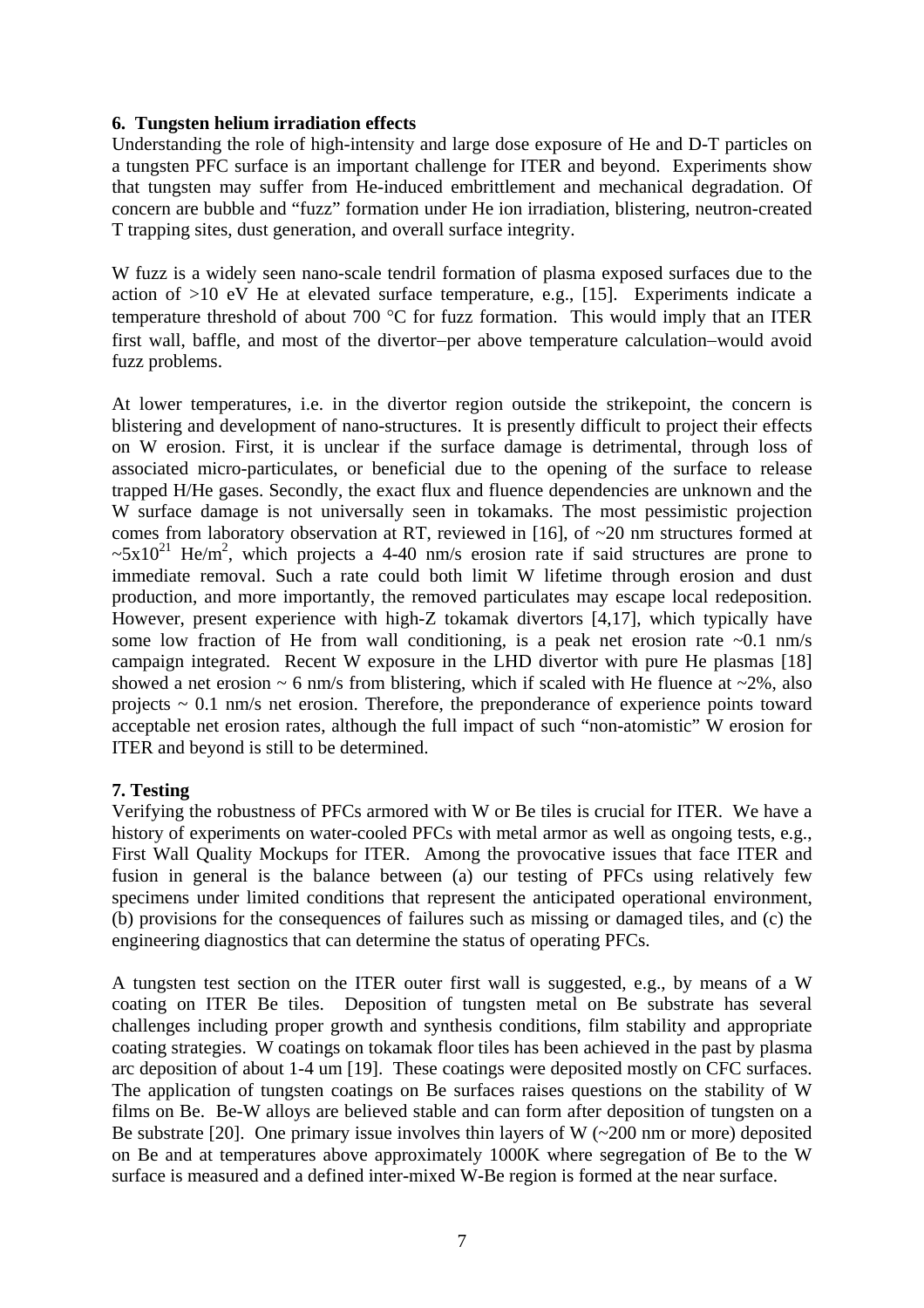## **6. Tungsten helium irradiation effects**

Understanding the role of high-intensity and large dose exposure of He and D-T particles on a tungsten PFC surface is an important challenge for ITER and beyond. Experiments show that tungsten may suffer from He-induced embrittlement and mechanical degradation. Of concern are bubble and "fuzz" formation under He ion irradiation, blistering, neutron-created T trapping sites, dust generation, and overall surface integrity.

W fuzz is a widely seen nano-scale tendril formation of plasma exposed surfaces due to the action of >10 eV He at elevated surface temperature, e.g., [15]. Experiments indicate a temperature threshold of about 700 °C for fuzz formation. This would imply that an ITER first wall, baffle, and most of the divertor−per above temperature calculation−would avoid fuzz problems.

At lower temperatures, i.e. in the divertor region outside the strikepoint, the concern is blistering and development of nano-structures. It is presently difficult to project their effects on W erosion. First, it is unclear if the surface damage is detrimental, through loss of associated micro-particulates, or beneficial due to the opening of the surface to release trapped H/He gases. Secondly, the exact flux and fluence dependencies are unknown and the W surface damage is not universally seen in tokamaks. The most pessimistic projection comes from laboratory observation at RT, reviewed in [16], of ~20 nm structures formed at  $\sim 5x10^{21}$  He/m<sup>2</sup>, which projects a 4-40 nm/s erosion rate if said structures are prone to immediate removal. Such a rate could both limit W lifetime through erosion and dust production, and more importantly, the removed particulates may escape local redeposition. However, present experience with high-Z tokamak divertors [4,17], which typically have some low fraction of He from wall conditioning, is a peak net erosion rate  $\sim 0.1$  nm/s campaign integrated. Recent W exposure in the LHD divertor with pure He plasmas [18] showed a net erosion  $\sim$  6 nm/s from blistering, which if scaled with He fluence at  $\sim$ 2%, also projects  $\sim 0.1$  nm/s net erosion. Therefore, the preponderance of experience points toward acceptable net erosion rates, although the full impact of such "non-atomistic" W erosion for ITER and beyond is still to be determined.

# **7. Testing**

Verifying the robustness of PFCs armored with W or Be tiles is crucial for ITER. We have a history of experiments on water-cooled PFCs with metal armor as well as ongoing tests, e.g., First Wall Quality Mockups for ITER. Among the provocative issues that face ITER and fusion in general is the balance between (a) our testing of PFCs using relatively few specimens under limited conditions that represent the anticipated operational environment, (b) provisions for the consequences of failures such as missing or damaged tiles, and (c) the engineering diagnostics that can determine the status of operating PFCs.

A tungsten test section on the ITER outer first wall is suggested, e.g., by means of a W coating on ITER Be tiles. Deposition of tungsten metal on Be substrate has several challenges including proper growth and synthesis conditions, film stability and appropriate coating strategies. W coatings on tokamak floor tiles has been achieved in the past by plasma arc deposition of about 1-4 um [19]. These coatings were deposited mostly on CFC surfaces. The application of tungsten coatings on Be surfaces raises questions on the stability of W films on Be. Be-W alloys are believed stable and can form after deposition of tungsten on a Be substrate [20]. One primary issue involves thin layers of W  $(-200 \text{ nm or more})$  deposited on Be and at temperatures above approximately 1000K where segregation of Be to the W surface is measured and a defined inter-mixed W-Be region is formed at the near surface.